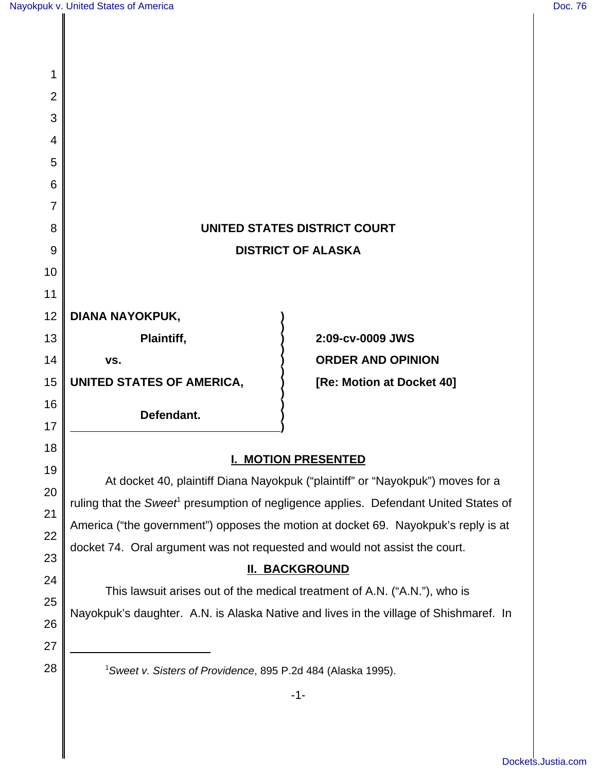| 1              |                                                                                                  |                           |
|----------------|--------------------------------------------------------------------------------------------------|---------------------------|
| $\overline{2}$ |                                                                                                  |                           |
| 3              |                                                                                                  |                           |
| 4              |                                                                                                  |                           |
| 5              |                                                                                                  |                           |
| 6              |                                                                                                  |                           |
| 7              |                                                                                                  |                           |
| 8              | UNITED STATES DISTRICT COURT                                                                     |                           |
| 9              | <b>DISTRICT OF ALASKA</b>                                                                        |                           |
| 10             |                                                                                                  |                           |
| 11             |                                                                                                  |                           |
| 12             | DIANA NAYOKPUK,                                                                                  |                           |
| 13             | Plaintiff,                                                                                       | 2:09-cv-0009 JWS          |
| 14             | VS.                                                                                              | <b>ORDER AND OPINION</b>  |
| 15             | UNITED STATES OF AMERICA,                                                                        | [Re: Motion at Docket 40] |
| 16             | Defendant.                                                                                       |                           |
| 17             |                                                                                                  |                           |
| 18             | <b>I. MOTION PRESENTED</b>                                                                       |                           |
| 19             | At docket 40, plaintiff Diana Nayokpuk ("plaintiff" or "Nayokpuk") moves for a                   |                           |
| 20             | ruling that the Sweet <sup>1</sup> presumption of negligence applies. Defendant United States of |                           |
| 21             | America ("the government") opposes the motion at docket 69. Nayokpuk's reply is at               |                           |
| 22             | docket 74. Oral argument was not requested and would not assist the court.                       |                           |
| 23             | <b>II. BACKGROUND</b>                                                                            |                           |
| 24             | This lawsuit arises out of the medical treatment of A.N. ("A.N."), who is                        |                           |
| 25             | Nayokpuk's daughter. A.N. is Alaska Native and lives in the village of Shishmaref. In            |                           |
| 26             |                                                                                                  |                           |
| 27             |                                                                                                  |                           |
| 28             | <sup>1</sup> Sweet v. Sisters of Providence, 895 P.2d 484 (Alaska 1995).                         |                           |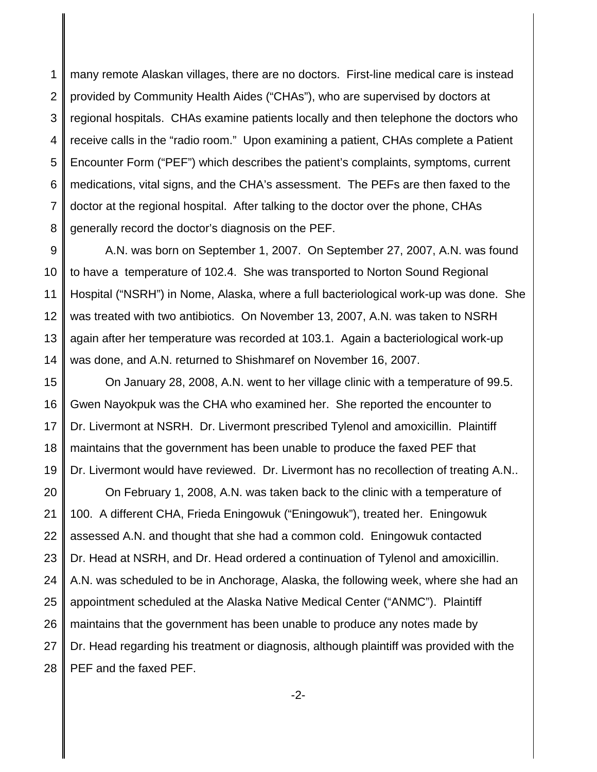1 2 3 4 5 6 7 8 many remote Alaskan villages, there are no doctors. First-line medical care is instead provided by Community Health Aides ("CHAs"), who are supervised by doctors at regional hospitals. CHAs examine patients locally and then telephone the doctors who receive calls in the "radio room." Upon examining a patient, CHAs complete a Patient Encounter Form ("PEF") which describes the patient's complaints, symptoms, current medications, vital signs, and the CHA's assessment. The PEFs are then faxed to the doctor at the regional hospital. After talking to the doctor over the phone, CHAs generally record the doctor's diagnosis on the PEF.

9 10 11 12 13 14 A.N. was born on September 1, 2007. On September 27, 2007, A.N. was found to have a temperature of 102.4. She was transported to Norton Sound Regional Hospital ("NSRH") in Nome, Alaska, where a full bacteriological work-up was done. She was treated with two antibiotics. On November 13, 2007, A.N. was taken to NSRH again after her temperature was recorded at 103.1. Again a bacteriological work-up was done, and A.N. returned to Shishmaref on November 16, 2007.

15 16 17 18 19 On January 28, 2008, A.N. went to her village clinic with a temperature of 99.5. Gwen Nayokpuk was the CHA who examined her. She reported the encounter to Dr. Livermont at NSRH. Dr. Livermont prescribed Tylenol and amoxicillin. Plaintiff maintains that the government has been unable to produce the faxed PEF that Dr. Livermont would have reviewed. Dr. Livermont has no recollection of treating A.N..

20 21 22 23 24 25 26 27 28 On February 1, 2008, A.N. was taken back to the clinic with a temperature of 100. A different CHA, Frieda Eningowuk ("Eningowuk"), treated her. Eningowuk assessed A.N. and thought that she had a common cold. Eningowuk contacted Dr. Head at NSRH, and Dr. Head ordered a continuation of Tylenol and amoxicillin. A.N. was scheduled to be in Anchorage, Alaska, the following week, where she had an appointment scheduled at the Alaska Native Medical Center ("ANMC"). Plaintiff maintains that the government has been unable to produce any notes made by Dr. Head regarding his treatment or diagnosis, although plaintiff was provided with the PEF and the faxed PEF.

-2-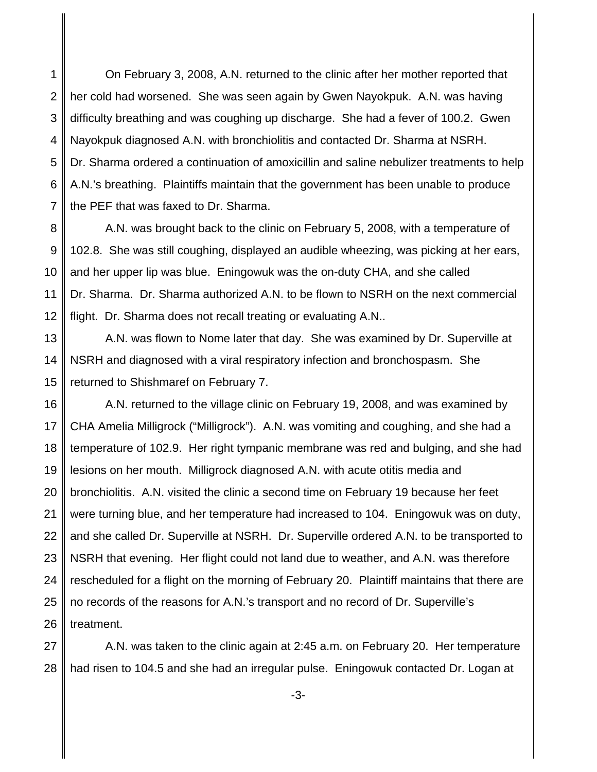1 2 3 4 5 6 7 On February 3, 2008, A.N. returned to the clinic after her mother reported that her cold had worsened. She was seen again by Gwen Nayokpuk. A.N. was having difficulty breathing and was coughing up discharge. She had a fever of 100.2. Gwen Nayokpuk diagnosed A.N. with bronchiolitis and contacted Dr. Sharma at NSRH. Dr. Sharma ordered a continuation of amoxicillin and saline nebulizer treatments to help A.N.'s breathing. Plaintiffs maintain that the government has been unable to produce the PEF that was faxed to Dr. Sharma.

8 9 10 11 12 A.N. was brought back to the clinic on February 5, 2008, with a temperature of 102.8. She was still coughing, displayed an audible wheezing, was picking at her ears, and her upper lip was blue. Eningowuk was the on-duty CHA, and she called Dr. Sharma. Dr. Sharma authorized A.N. to be flown to NSRH on the next commercial flight. Dr. Sharma does not recall treating or evaluating A.N..

13 14 15 A.N. was flown to Nome later that day. She was examined by Dr. Superville at NSRH and diagnosed with a viral respiratory infection and bronchospasm. She returned to Shishmaref on February 7.

16 17 18 19 20 21 22 23 24 25 26 A.N. returned to the village clinic on February 19, 2008, and was examined by CHA Amelia Milligrock ("Milligrock"). A.N. was vomiting and coughing, and she had a temperature of 102.9. Her right tympanic membrane was red and bulging, and she had lesions on her mouth. Milligrock diagnosed A.N. with acute otitis media and bronchiolitis. A.N. visited the clinic a second time on February 19 because her feet were turning blue, and her temperature had increased to 104. Eningowuk was on duty, and she called Dr. Superville at NSRH. Dr. Superville ordered A.N. to be transported to NSRH that evening. Her flight could not land due to weather, and A.N. was therefore rescheduled for a flight on the morning of February 20. Plaintiff maintains that there are no records of the reasons for A.N.'s transport and no record of Dr. Superville's treatment.

27 28 A.N. was taken to the clinic again at 2:45 a.m. on February 20. Her temperature had risen to 104.5 and she had an irregular pulse. Eningowuk contacted Dr. Logan at

-3-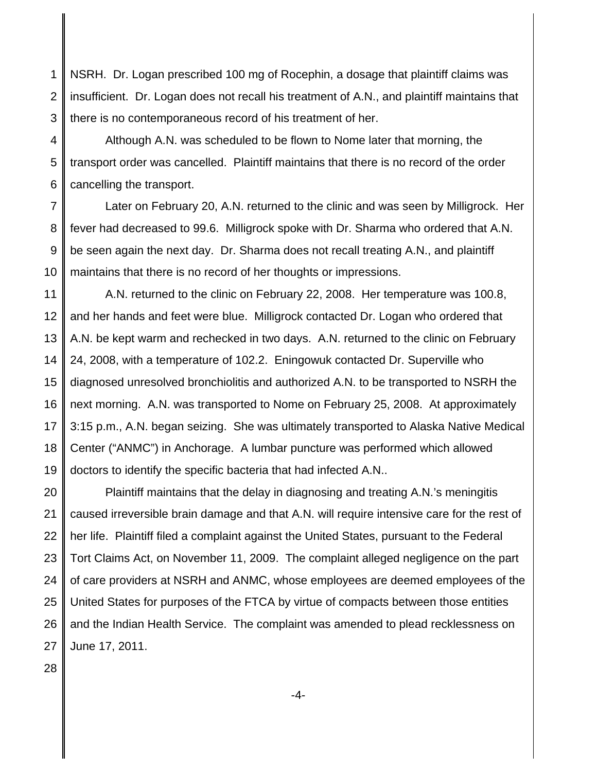1 2 3 NSRH. Dr. Logan prescribed 100 mg of Rocephin, a dosage that plaintiff claims was insufficient. Dr. Logan does not recall his treatment of A.N., and plaintiff maintains that there is no contemporaneous record of his treatment of her.

4 5 6 Although A.N. was scheduled to be flown to Nome later that morning, the transport order was cancelled. Plaintiff maintains that there is no record of the order cancelling the transport.

7 8 9 10 Later on February 20, A.N. returned to the clinic and was seen by Milligrock. Her fever had decreased to 99.6. Milligrock spoke with Dr. Sharma who ordered that A.N. be seen again the next day. Dr. Sharma does not recall treating A.N., and plaintiff maintains that there is no record of her thoughts or impressions.

11 12 13 14 15 16 17 18 19 A.N. returned to the clinic on February 22, 2008. Her temperature was 100.8, and her hands and feet were blue. Milligrock contacted Dr. Logan who ordered that A.N. be kept warm and rechecked in two days. A.N. returned to the clinic on February 24, 2008, with a temperature of 102.2. Eningowuk contacted Dr. Superville who diagnosed unresolved bronchiolitis and authorized A.N. to be transported to NSRH the next morning. A.N. was transported to Nome on February 25, 2008. At approximately 3:15 p.m., A.N. began seizing. She was ultimately transported to Alaska Native Medical Center ("ANMC") in Anchorage. A lumbar puncture was performed which allowed doctors to identify the specific bacteria that had infected A.N..

20 21 22 23 24 25 26 27 Plaintiff maintains that the delay in diagnosing and treating A.N.'s meningitis caused irreversible brain damage and that A.N. will require intensive care for the rest of her life. Plaintiff filed a complaint against the United States, pursuant to the Federal Tort Claims Act, on November 11, 2009. The complaint alleged negligence on the part of care providers at NSRH and ANMC, whose employees are deemed employees of the United States for purposes of the FTCA by virtue of compacts between those entities and the Indian Health Service. The complaint was amended to plead recklessness on June 17, 2011.

28

-4-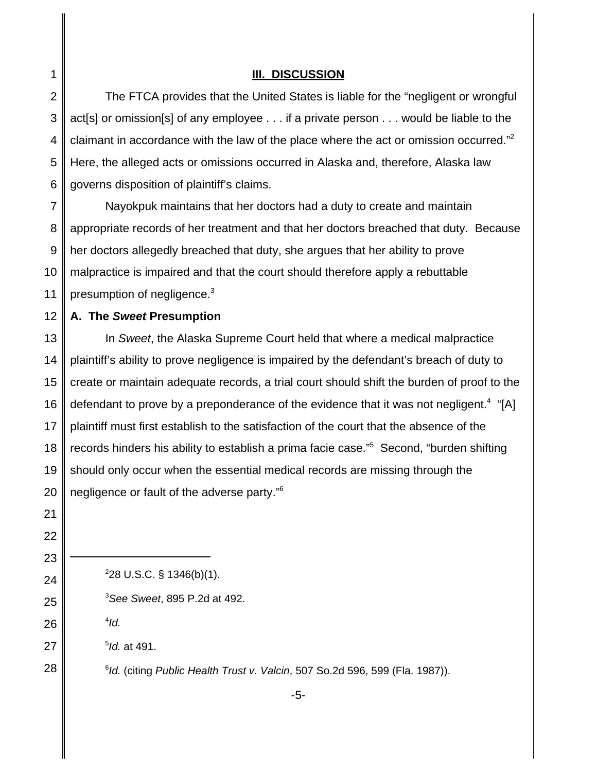**III. DISCUSSION** The FTCA provides that the United States is liable for the "negligent or wrongful act[s] or omission[s] of any employee . . . if a private person . . . would be liable to the claimant in accordance with the law of the place where the act or omission occurred."<sup>2</sup> Here, the alleged acts or omissions occurred in Alaska and, therefore, Alaska law governs disposition of plaintiff's claims. Nayokpuk maintains that her doctors had a duty to create and maintain

7 8 9 10 11 appropriate records of her treatment and that her doctors breached that duty. Because her doctors allegedly breached that duty, she argues that her ability to prove malpractice is impaired and that the court should therefore apply a rebuttable presumption of negligence.<sup>3</sup>

12 **A. The** *Sweet* **Presumption**

13 14 15 16 17 18 In *Sweet*, the Alaska Supreme Court held that where a medical malpractice plaintiff's ability to prove negligence is impaired by the defendant's breach of duty to create or maintain adequate records, a trial court should shift the burden of proof to the defendant to prove by a preponderance of the evidence that it was not negligent.<sup>4</sup> "[A] plaintiff must first establish to the satisfaction of the court that the absence of the records hinders his ability to establish a prima facie case."<sup>5</sup> Second, "burden shifting should only occur when the essential medical records are missing through the negligence or fault of the adverse party."6

28

1

2

3

4

5

6

 $228 \text{ U.S.C. }$ § 1346(b)(1).

3 *See Sweet*, 895 P.2d at 492.

4 *Id.*

5 *Id.* at 491.

6 *Id.* (citing *Public Health Trust v. Valcin*, 507 So.2d 596, 599 (Fla. 1987)).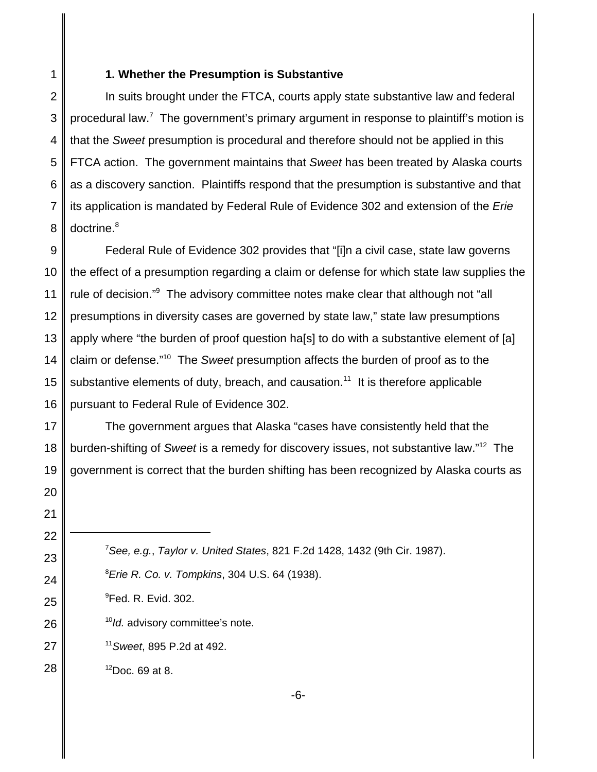1

## **1. Whether the Presumption is Substantive**

2 3 4 5 6 7 8 In suits brought under the FTCA, courts apply state substantive law and federal procedural law.<sup>7</sup> The government's primary argument in response to plaintiff's motion is that the *Sweet* presumption is procedural and therefore should not be applied in this FTCA action. The government maintains that *Sweet* has been treated by Alaska courts as a discovery sanction. Plaintiffs respond that the presumption is substantive and that its application is mandated by Federal Rule of Evidence 302 and extension of the *Erie* doctrine.<sup>8</sup>

9 10 11 12 13 14 Federal Rule of Evidence 302 provides that "[i]n a civil case, state law governs the effect of a presumption regarding a claim or defense for which state law supplies the rule of decision."<sup>9</sup> The advisory committee notes make clear that although not "all presumptions in diversity cases are governed by state law," state law presumptions apply where "the burden of proof question ha[s] to do with a substantive element of [a] claim or defense."10 The *Sweet* presumption affects the burden of proof as to the substantive elements of duty, breach, and causation.<sup>11</sup> It is therefore applicable pursuant to Federal Rule of Evidence 302.

The government argues that Alaska "cases have consistently held that the burden-shifting of *Sweet* is a remedy for discovery issues, not substantive law."12 The government is correct that the burden shifting has been recognized by Alaska courts as

7 *See, e.g.*, *Taylor v. United States*, 821 F.2d 1428, 1432 (9th Cir. 1987). 8 *Erie R. Co. v. Tompkins*, 304 U.S. 64 (1938).

- <sup>9</sup>Fed. R. Evid. 302.
	- <sup>10</sup>*Id.* advisory committee's note.
- <sup>11</sup>*Sweet*, 895 P.2d at 492.

28  $12$ Doc. 69 at 8.

-6-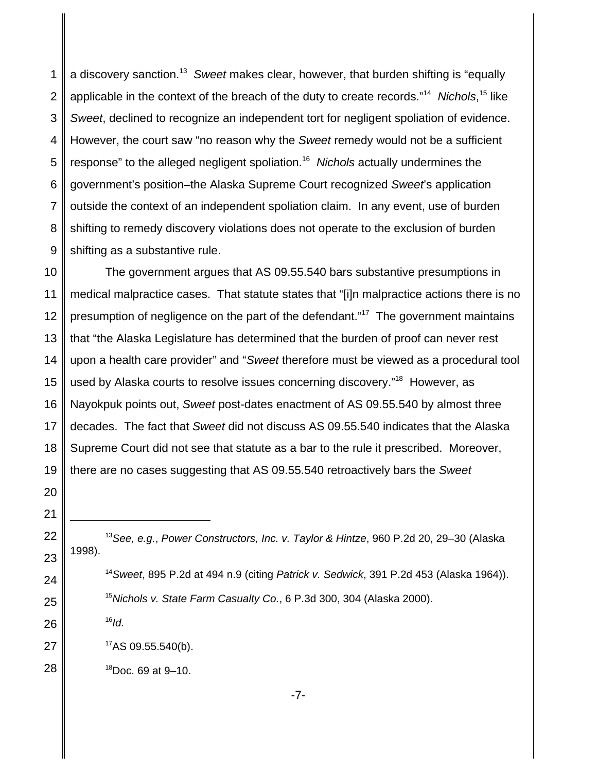1 2 3 4 5 6 7 8 9 a discovery sanction.<sup>13</sup> *Sweet* makes clear, however, that burden shifting is "equally applicable in the context of the breach of the duty to create records."<sup>14</sup> Nichols,<sup>15</sup> like *Sweet*, declined to recognize an independent tort for negligent spoliation of evidence. However, the court saw "no reason why the *Sweet* remedy would not be a sufficient response" to the alleged negligent spoliation.16 *Nichols* actually undermines the government's position–the Alaska Supreme Court recognized *Sweet*'s application outside the context of an independent spoliation claim. In any event, use of burden shifting to remedy discovery violations does not operate to the exclusion of burden shifting as a substantive rule.

10 11 12 13 14 15 16 17 18 19 The government argues that AS 09.55.540 bars substantive presumptions in medical malpractice cases. That statute states that "[i]n malpractice actions there is no presumption of negligence on the part of the defendant."17 The government maintains that "the Alaska Legislature has determined that the burden of proof can never rest upon a health care provider" and "*Sweet* therefore must be viewed as a procedural tool used by Alaska courts to resolve issues concerning discovery."<sup>18</sup> However, as Nayokpuk points out, *Sweet* post-dates enactment of AS 09.55.540 by almost three decades. The fact that *Sweet* did not discuss AS 09.55.540 indicates that the Alaska Supreme Court did not see that statute as a bar to the rule it prescribed. Moreover, there are no cases suggesting that AS 09.55.540 retroactively bars the *Sweet*

<sup>13</sup>*See, e.g.*, *Power Constructors, Inc. v. Taylor & Hintze*, 960 P.2d 20, 29–30 (Alaska 1998).

<sup>14</sup>*Sweet*, 895 P.2d at 494 n.9 (citing *Patrick v. Sedwick*, 391 P.2d 453 (Alaska 1964)). <sup>15</sup>*Nichols v. State Farm Casualty Co.*, 6 P.3d 300, 304 (Alaska 2000).

 $16$ *Id.* 

20

21

22

23

24

25

26

27

- $17AS$  09.55.540(b).
- 28  $18$ Doc. 69 at 9-10.

-7-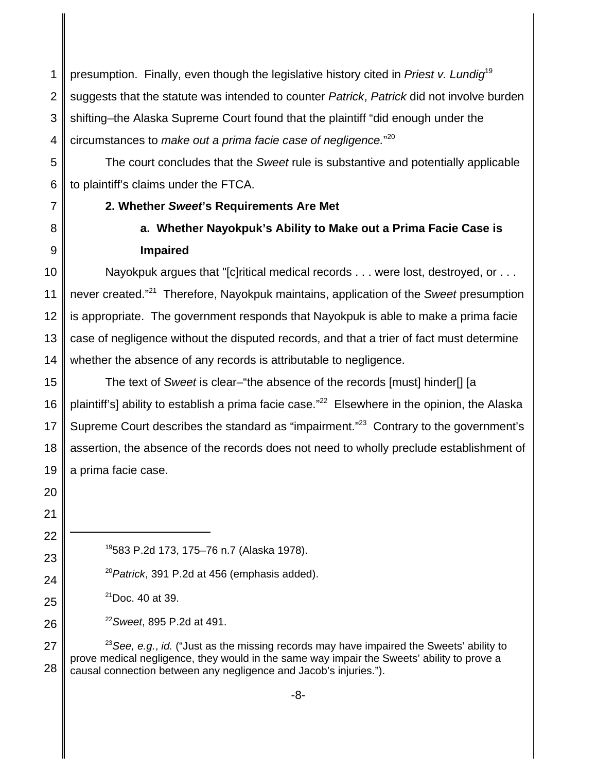1 2 3 4 presumption. Finally, even though the legislative history cited in *Priest v. Lundig*<sup>19</sup> suggests that the statute was intended to counter *Patrick*, *Patrick* did not involve burden shifting–the Alaska Supreme Court found that the plaintiff "did enough under the circumstances to *make out a prima facie case of negligence.*" 20

5 6 The court concludes that the *Sweet* rule is substantive and potentially applicable to plaintiff's claims under the FTCA.

- 7
- **2. Whether** *Sweet***'s Requirements Are Met**
- 8

9

## **a. Whether Nayokpuk's Ability to Make out a Prima Facie Case is**

**Impaired**

10 11 12 13 14 Nayokpuk argues that "[c]ritical medical records . . . were lost, destroyed, or . . . never created."21 Therefore, Nayokpuk maintains, application of the *Sweet* presumption is appropriate. The government responds that Nayokpuk is able to make a prima facie case of negligence without the disputed records, and that a trier of fact must determine whether the absence of any records is attributable to negligence.

15 16 17 18 19 The text of *Sweet* is clear–"the absence of the records [must] hinder[] [a plaintiff's] ability to establish a prima facie case."<sup>22</sup> Elsewhere in the opinion, the Alaska Supreme Court describes the standard as "impairment."<sup>23</sup> Contrary to the government's assertion, the absence of the records does not need to wholly preclude establishment of a prima facie case.

21 22

23

24

25

26

20

19583 P.2d 173, 175–76 n.7 (Alaska 1978).

<sup>20</sup>*Patrick*, 391 P.2d at 456 (emphasis added).

 $21$ Doc. 40 at 39.

<sup>22</sup>*Sweet*, 895 P.2d at 491.

27 28 <sup>23</sup>*See, e.g.*, *id.* ("Just as the missing records may have impaired the Sweets' ability to prove medical negligence, they would in the same way impair the Sweets' ability to prove a causal connection between any negligence and Jacob's injuries.").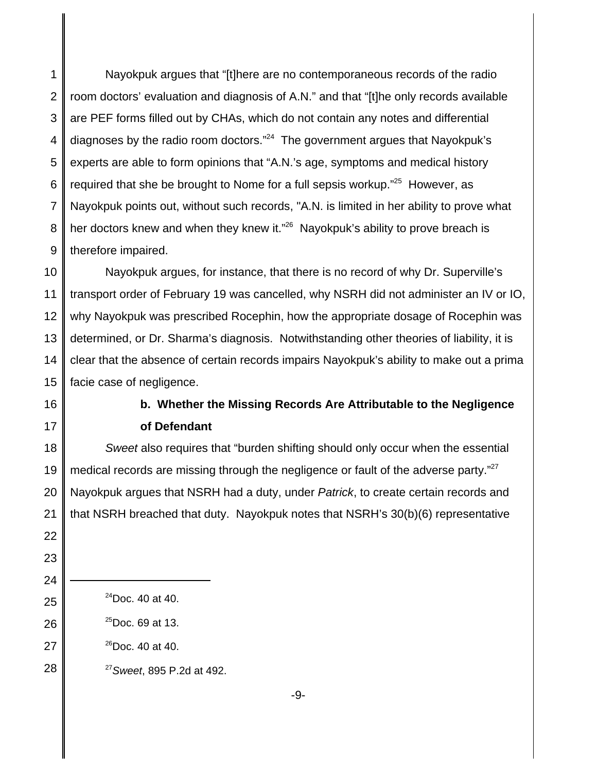1 2 3 4 5 6 7 8 9 Nayokpuk argues that "[t]here are no contemporaneous records of the radio room doctors' evaluation and diagnosis of A.N." and that "[t]he only records available are PEF forms filled out by CHAs, which do not contain any notes and differential diagnoses by the radio room doctors."24 The government argues that Nayokpuk's experts are able to form opinions that "A.N.'s age, symptoms and medical history required that she be brought to Nome for a full sepsis workup."<sup>25</sup> However, as Nayokpuk points out, without such records, "A.N. is limited in her ability to prove what her doctors knew and when they knew it."<sup>26</sup> Nayokpuk's ability to prove breach is therefore impaired.

10 11 12 13 14 15 Nayokpuk argues, for instance, that there is no record of why Dr. Superville's transport order of February 19 was cancelled, why NSRH did not administer an IV or IO, why Nayokpuk was prescribed Rocephin, how the appropriate dosage of Rocephin was determined, or Dr. Sharma's diagnosis. Notwithstanding other theories of liability, it is clear that the absence of certain records impairs Nayokpuk's ability to make out a prima facie case of negligence.

- 16
- 17

22

23

24

25

26

## **b. Whether the Missing Records Are Attributable to the Negligence of Defendant**

18 19 20 21 *Sweet* also requires that "burden shifting should only occur when the essential medical records are missing through the negligence or fault of the adverse party. $27$ Nayokpuk argues that NSRH had a duty, under *Patrick*, to create certain records and that NSRH breached that duty. Nayokpuk notes that NSRH's 30(b)(6) representative

- $^{24}$ Doc. 40 at 40.
- $^{25}$ Doc. 69 at 13.
- 27  $^{26}$ Doc. 40 at 40.

28 <sup>27</sup>*Sweet*, 895 P.2d at 492.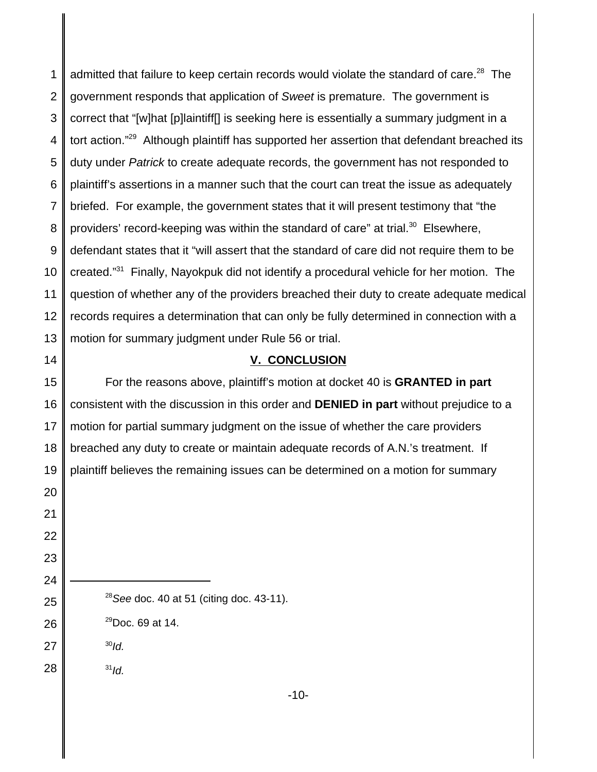admitted that failure to keep certain records would violate the standard of care.<sup>28</sup> The government responds that application of *Sweet* is premature. The government is correct that "[w]hat [p]laintiff[] is seeking here is essentially a summary judgment in a tort action."<sup>29</sup> Although plaintiff has supported her assertion that defendant breached its duty under *Patrick* to create adequate records, the government has not responded to plaintiff's assertions in a manner such that the court can treat the issue as adequately briefed. For example, the government states that it will present testimony that "the providers' record-keeping was within the standard of care" at trial. Elsewhere, defendant states that it "will assert that the standard of care did not require them to be created."31 Finally, Nayokpuk did not identify a procedural vehicle for her motion. The question of whether any of the providers breached their duty to create adequate medical records requires a determination that can only be fully determined in connection with a motion for summary judgment under Rule 56 or trial.

## **V. CONCLUSION**

 For the reasons above, plaintiff's motion at docket 40 is **GRANTED in part** consistent with the discussion in this order and **DENIED in part** without prejudice to a motion for partial summary judgment on the issue of whether the care providers breached any duty to create or maintain adequate records of A.N.'s treatment. If plaintiff believes the remaining issues can be determined on a motion for summary

*See* doc. 40 at 51 (citing doc. 43-11).

 $^{29}$ Doc. 69 at 14.

*Id.*

 *Id.*